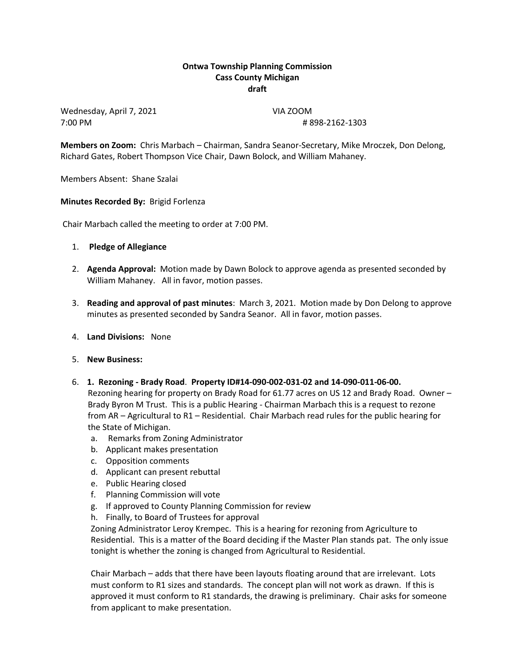## **Ontwa Township Planning Commission Cass County Michigan draft**

Wednesday, April 7, 2021 VIA ZOOM 7:00 PM # 898-2162-1303

**Members on Zoom:** Chris Marbach – Chairman, Sandra Seanor-Secretary, Mike Mroczek, Don Delong, Richard Gates, Robert Thompson Vice Chair, Dawn Bolock, and William Mahaney.

Members Absent: Shane Szalai

## **Minutes Recorded By:** Brigid Forlenza

Chair Marbach called the meeting to order at 7:00 PM.

- 1. **Pledge of Allegiance**
- 2. **Agenda Approval:** Motion made by Dawn Bolock to approve agenda as presented seconded by William Mahaney. All in favor, motion passes.
- 3. **Reading and approval of past minutes**: March 3, 2021. Motion made by Don Delong to approve minutes as presented seconded by Sandra Seanor. All in favor, motion passes.
- 4. **Land Divisions:** None
- 5. **New Business:**
- 6. **1. Rezoning - Brady Road**. **Property ID#14-090-002-031-02 and 14-090-011-06-00.**

 Rezoning hearing for property on Brady Road for 61.77 acres on US 12 and Brady Road. Owner – Brady Byron M Trust. This is a public Hearing - Chairman Marbach this is a request to rezone from AR – Agricultural to R1 – Residential. Chair Marbach read rules for the public hearing for the State of Michigan.

- a. Remarks from Zoning Administrator
- b. Applicant makes presentation
- c. Opposition comments
- d. Applicant can present rebuttal
- e. Public Hearing closed
- f. Planning Commission will vote
- g. If approved to County Planning Commission for review
- h. Finally, to Board of Trustees for approval

Zoning Administrator Leroy Krempec. This is a hearing for rezoning from Agriculture to Residential. This is a matter of the Board deciding if the Master Plan stands pat. The only issue tonight is whether the zoning is changed from Agricultural to Residential.

Chair Marbach – adds that there have been layouts floating around that are irrelevant. Lots must conform to R1 sizes and standards. The concept plan will not work as drawn. If this is approved it must conform to R1 standards, the drawing is preliminary. Chair asks for someone from applicant to make presentation.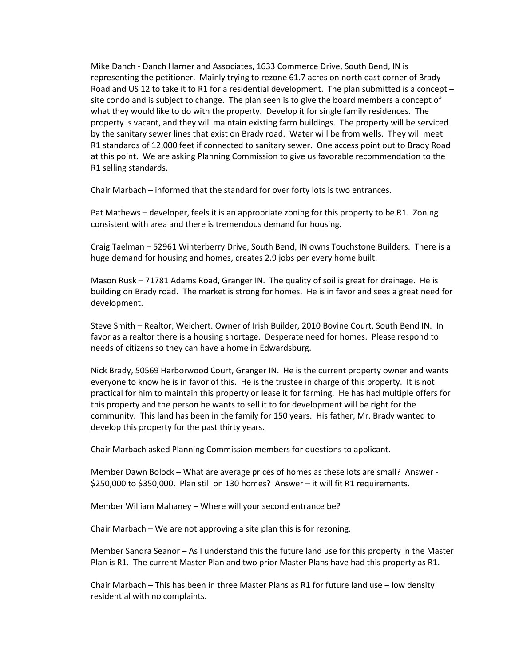Mike Danch - Danch Harner and Associates, 1633 Commerce Drive, South Bend, IN is representing the petitioner. Mainly trying to rezone 61.7 acres on north east corner of Brady Road and US 12 to take it to R1 for a residential development. The plan submitted is a concept – site condo and is subject to change. The plan seen is to give the board members a concept of what they would like to do with the property. Develop it for single family residences. The property is vacant, and they will maintain existing farm buildings. The property will be serviced by the sanitary sewer lines that exist on Brady road. Water will be from wells. They will meet R1 standards of 12,000 feet if connected to sanitary sewer. One access point out to Brady Road at this point. We are asking Planning Commission to give us favorable recommendation to the R1 selling standards.

Chair Marbach – informed that the standard for over forty lots is two entrances.

Pat Mathews – developer, feels it is an appropriate zoning for this property to be R1. Zoning consistent with area and there is tremendous demand for housing.

Craig Taelman – 52961 Winterberry Drive, South Bend, IN owns Touchstone Builders. There is a huge demand for housing and homes, creates 2.9 jobs per every home built.

Mason Rusk – 71781 Adams Road, Granger IN. The quality of soil is great for drainage. He is building on Brady road. The market is strong for homes. He is in favor and sees a great need for development.

Steve Smith – Realtor, Weichert. Owner of Irish Builder, 2010 Bovine Court, South Bend IN. In favor as a realtor there is a housing shortage. Desperate need for homes. Please respond to needs of citizens so they can have a home in Edwardsburg.

Nick Brady, 50569 Harborwood Court, Granger IN. He is the current property owner and wants everyone to know he is in favor of this. He is the trustee in charge of this property. It is not practical for him to maintain this property or lease it for farming. He has had multiple offers for this property and the person he wants to sell it to for development will be right for the community. This land has been in the family for 150 years. His father, Mr. Brady wanted to develop this property for the past thirty years.

Chair Marbach asked Planning Commission members for questions to applicant.

Member Dawn Bolock – What are average prices of homes as these lots are small? Answer - \$250,000 to \$350,000. Plan still on 130 homes? Answer – it will fit R1 requirements.

Member William Mahaney – Where will your second entrance be?

Chair Marbach – We are not approving a site plan this is for rezoning.

Member Sandra Seanor – As I understand this the future land use for this property in the Master Plan is R1. The current Master Plan and two prior Master Plans have had this property as R1.

Chair Marbach – This has been in three Master Plans as R1 for future land use – low density residential with no complaints.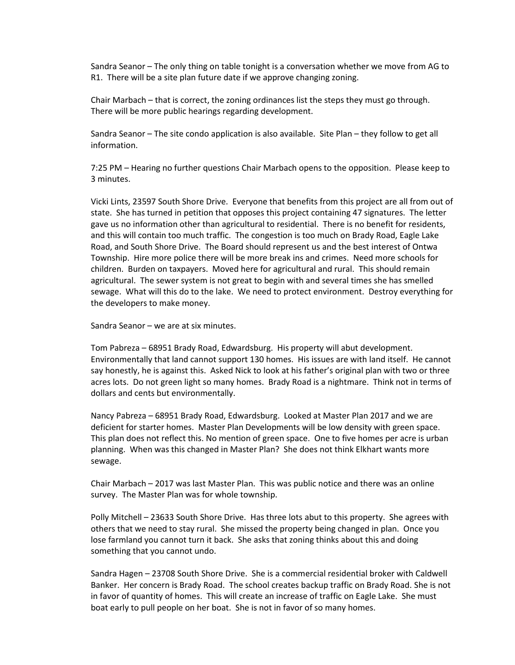Sandra Seanor – The only thing on table tonight is a conversation whether we move from AG to R1. There will be a site plan future date if we approve changing zoning.

Chair Marbach – that is correct, the zoning ordinances list the steps they must go through. There will be more public hearings regarding development.

Sandra Seanor – The site condo application is also available. Site Plan – they follow to get all information.

7:25 PM – Hearing no further questions Chair Marbach opens to the opposition. Please keep to 3 minutes.

Vicki Lints, 23597 South Shore Drive. Everyone that benefits from this project are all from out of state. She has turned in petition that opposes this project containing 47 signatures. The letter gave us no information other than agricultural to residential. There is no benefit for residents, and this will contain too much traffic. The congestion is too much on Brady Road, Eagle Lake Road, and South Shore Drive. The Board should represent us and the best interest of Ontwa Township. Hire more police there will be more break ins and crimes. Need more schools for children. Burden on taxpayers. Moved here for agricultural and rural. This should remain agricultural. The sewer system is not great to begin with and several times she has smelled sewage. What will this do to the lake. We need to protect environment. Destroy everything for the developers to make money.

Sandra Seanor – we are at six minutes.

Tom Pabreza – 68951 Brady Road, Edwardsburg. His property will abut development. Environmentally that land cannot support 130 homes. His issues are with land itself. He cannot say honestly, he is against this. Asked Nick to look at his father's original plan with two or three acres lots. Do not green light so many homes. Brady Road is a nightmare. Think not in terms of dollars and cents but environmentally.

Nancy Pabreza – 68951 Brady Road, Edwardsburg. Looked at Master Plan 2017 and we are deficient for starter homes. Master Plan Developments will be low density with green space. This plan does not reflect this. No mention of green space. One to five homes per acre is urban planning. When was this changed in Master Plan? She does not think Elkhart wants more sewage.

Chair Marbach – 2017 was last Master Plan. This was public notice and there was an online survey. The Master Plan was for whole township.

Polly Mitchell – 23633 South Shore Drive. Has three lots abut to this property. She agrees with others that we need to stay rural. She missed the property being changed in plan. Once you lose farmland you cannot turn it back. She asks that zoning thinks about this and doing something that you cannot undo.

Sandra Hagen – 23708 South Shore Drive. She is a commercial residential broker with Caldwell Banker. Her concern is Brady Road. The school creates backup traffic on Brady Road. She is not in favor of quantity of homes. This will create an increase of traffic on Eagle Lake. She must boat early to pull people on her boat. She is not in favor of so many homes.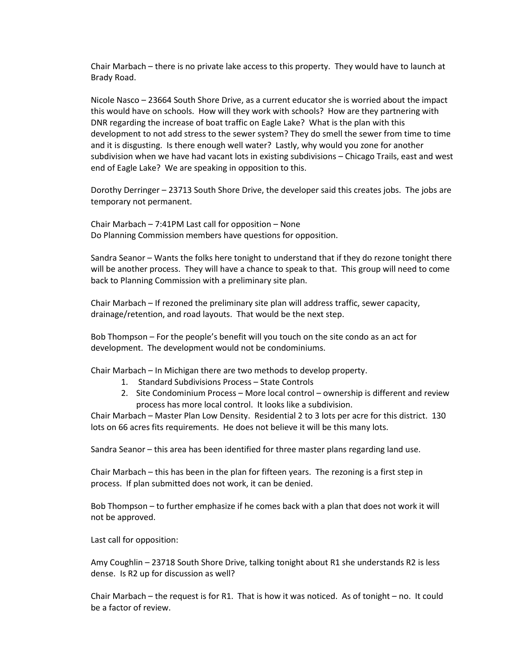Chair Marbach – there is no private lake access to this property. They would have to launch at Brady Road.

Nicole Nasco – 23664 South Shore Drive, as a current educator she is worried about the impact this would have on schools. How will they work with schools? How are they partnering with DNR regarding the increase of boat traffic on Eagle Lake? What is the plan with this development to not add stress to the sewer system? They do smell the sewer from time to time and it is disgusting. Is there enough well water? Lastly, why would you zone for another subdivision when we have had vacant lots in existing subdivisions – Chicago Trails, east and west end of Eagle Lake? We are speaking in opposition to this.

Dorothy Derringer – 23713 South Shore Drive, the developer said this creates jobs. The jobs are temporary not permanent.

Chair Marbach – 7:41PM Last call for opposition – None Do Planning Commission members have questions for opposition.

Sandra Seanor – Wants the folks here tonight to understand that if they do rezone tonight there will be another process. They will have a chance to speak to that. This group will need to come back to Planning Commission with a preliminary site plan.

Chair Marbach – If rezoned the preliminary site plan will address traffic, sewer capacity, drainage/retention, and road layouts. That would be the next step.

Bob Thompson – For the people's benefit will you touch on the site condo as an act for development. The development would not be condominiums.

Chair Marbach – In Michigan there are two methods to develop property.

- 1. Standard Subdivisions Process State Controls
- 2. Site Condominium Process More local control ownership is different and review process has more local control. It looks like a subdivision.

Chair Marbach – Master Plan Low Density. Residential 2 to 3 lots per acre for this district. 130 lots on 66 acres fits requirements. He does not believe it will be this many lots.

Sandra Seanor – this area has been identified for three master plans regarding land use.

Chair Marbach – this has been in the plan for fifteen years. The rezoning is a first step in process. If plan submitted does not work, it can be denied.

Bob Thompson – to further emphasize if he comes back with a plan that does not work it will not be approved.

Last call for opposition:

Amy Coughlin – 23718 South Shore Drive, talking tonight about R1 she understands R2 is less dense. Is R2 up for discussion as well?

Chair Marbach – the request is for R1. That is how it was noticed. As of tonight – no. It could be a factor of review.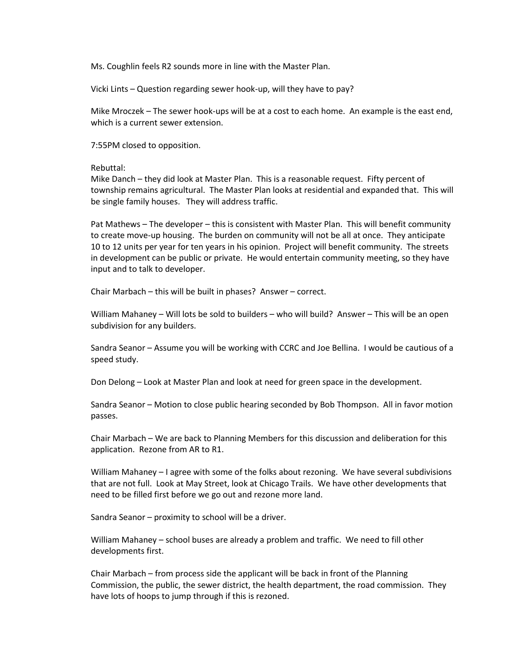Ms. Coughlin feels R2 sounds more in line with the Master Plan.

Vicki Lints – Question regarding sewer hook-up, will they have to pay?

Mike Mroczek – The sewer hook-ups will be at a cost to each home. An example is the east end, which is a current sewer extension.

7:55PM closed to opposition.

Rebuttal:

Mike Danch – they did look at Master Plan. This is a reasonable request. Fifty percent of township remains agricultural. The Master Plan looks at residential and expanded that. This will be single family houses. They will address traffic.

Pat Mathews – The developer – this is consistent with Master Plan. This will benefit community to create move-up housing. The burden on community will not be all at once. They anticipate 10 to 12 units per year for ten years in his opinion. Project will benefit community. The streets in development can be public or private. He would entertain community meeting, so they have input and to talk to developer.

Chair Marbach – this will be built in phases? Answer – correct.

William Mahaney – Will lots be sold to builders – who will build? Answer – This will be an open subdivision for any builders.

Sandra Seanor – Assume you will be working with CCRC and Joe Bellina. I would be cautious of a speed study.

Don Delong – Look at Master Plan and look at need for green space in the development.

Sandra Seanor – Motion to close public hearing seconded by Bob Thompson. All in favor motion passes.

Chair Marbach – We are back to Planning Members for this discussion and deliberation for this application. Rezone from AR to R1.

William Mahaney – I agree with some of the folks about rezoning. We have several subdivisions that are not full. Look at May Street, look at Chicago Trails. We have other developments that need to be filled first before we go out and rezone more land.

Sandra Seanor – proximity to school will be a driver.

William Mahaney – school buses are already a problem and traffic. We need to fill other developments first.

Chair Marbach – from process side the applicant will be back in front of the Planning Commission, the public, the sewer district, the health department, the road commission. They have lots of hoops to jump through if this is rezoned.